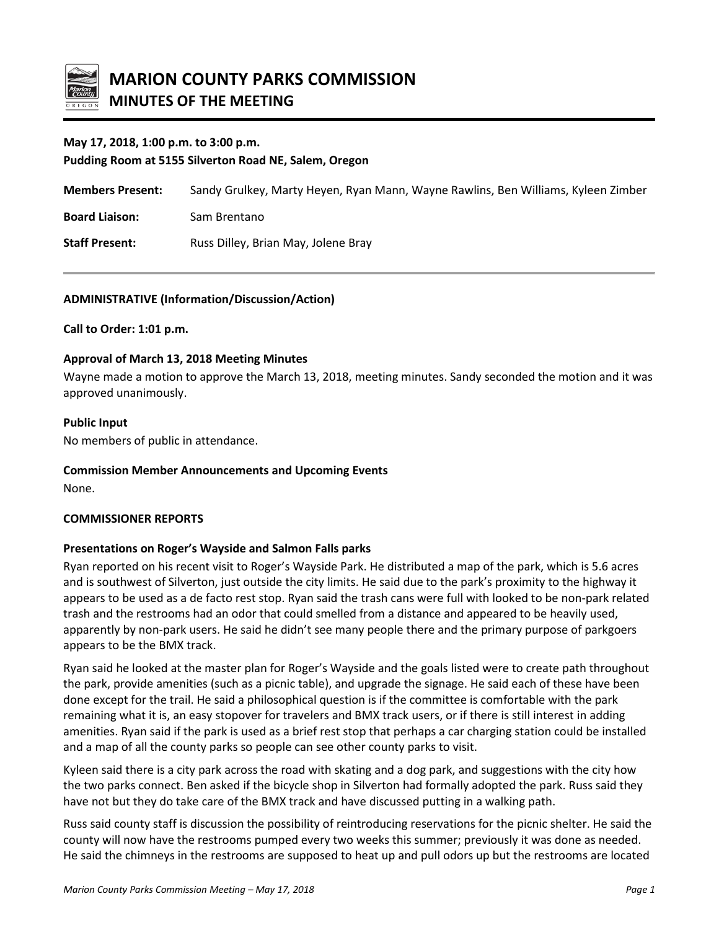

# **May 17, 2018, 1:00 p.m. to 3:00 p.m.**

**Pudding Room at 5155 Silverton Road NE, Salem, Oregon**

**Members Present:** Sandy Grulkey, Marty Heyen, Ryan Mann, Wayne Rawlins, Ben Williams, Kyleen Zimber

**Board Liaison:** Sam Brentano

**Staff Present:** Russ Dilley, Brian May, Jolene Bray

### **ADMINISTRATIVE (Information/Discussion/Action)**

**Call to Order: 1:01 p.m.**

### **Approval of March 13, 2018 Meeting Minutes**

Wayne made a motion to approve the March 13, 2018, meeting minutes. Sandy seconded the motion and it was approved unanimously.

### **Public Input**

No members of public in attendance.

### **Commission Member Announcements and Upcoming Events**

None.

## **COMMISSIONER REPORTS**

## **Presentations on Roger's Wayside and Salmon Falls parks**

Ryan reported on his recent visit to Roger's Wayside Park. He distributed a map of the park, which is 5.6 acres and is southwest of Silverton, just outside the city limits. He said due to the park's proximity to the highway it appears to be used as a de facto rest stop. Ryan said the trash cans were full with looked to be non-park related trash and the restrooms had an odor that could smelled from a distance and appeared to be heavily used, apparently by non-park users. He said he didn't see many people there and the primary purpose of parkgoers appears to be the BMX track.

Ryan said he looked at the master plan for Roger's Wayside and the goals listed were to create path throughout the park, provide amenities (such as a picnic table), and upgrade the signage. He said each of these have been done except for the trail. He said a philosophical question is if the committee is comfortable with the park remaining what it is, an easy stopover for travelers and BMX track users, or if there is still interest in adding amenities. Ryan said if the park is used as a brief rest stop that perhaps a car charging station could be installed and a map of all the county parks so people can see other county parks to visit.

Kyleen said there is a city park across the road with skating and a dog park, and suggestions with the city how the two parks connect. Ben asked if the bicycle shop in Silverton had formally adopted the park. Russ said they have not but they do take care of the BMX track and have discussed putting in a walking path.

Russ said county staff is discussion the possibility of reintroducing reservations for the picnic shelter. He said the county will now have the restrooms pumped every two weeks this summer; previously it was done as needed. He said the chimneys in the restrooms are supposed to heat up and pull odors up but the restrooms are located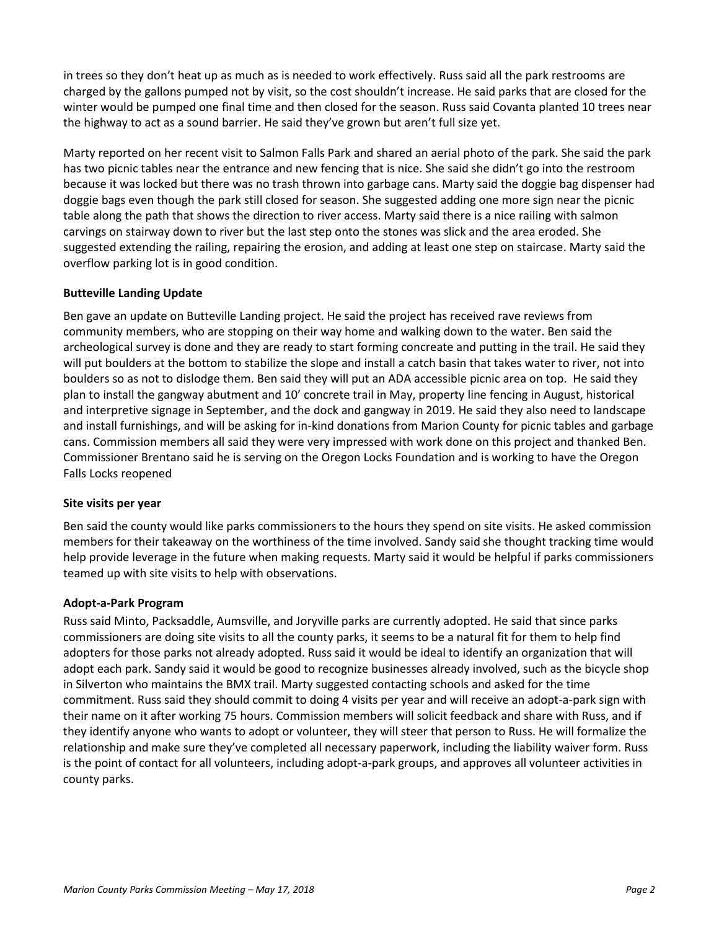in trees so they don't heat up as much as is needed to work effectively. Russ said all the park restrooms are charged by the gallons pumped not by visit, so the cost shouldn't increase. He said parks that are closed for the winter would be pumped one final time and then closed for the season. Russ said Covanta planted 10 trees near the highway to act as a sound barrier. He said they've grown but aren't full size yet.

Marty reported on her recent visit to Salmon Falls Park and shared an aerial photo of the park. She said the park has two picnic tables near the entrance and new fencing that is nice. She said she didn't go into the restroom because it was locked but there was no trash thrown into garbage cans. Marty said the doggie bag dispenser had doggie bags even though the park still closed for season. She suggested adding one more sign near the picnic table along the path that shows the direction to river access. Marty said there is a nice railing with salmon carvings on stairway down to river but the last step onto the stones was slick and the area eroded. She suggested extending the railing, repairing the erosion, and adding at least one step on staircase. Marty said the overflow parking lot is in good condition.

# **Butteville Landing Update**

Ben gave an update on Butteville Landing project. He said the project has received rave reviews from community members, who are stopping on their way home and walking down to the water. Ben said the archeological survey is done and they are ready to start forming concreate and putting in the trail. He said they will put boulders at the bottom to stabilize the slope and install a catch basin that takes water to river, not into boulders so as not to dislodge them. Ben said they will put an ADA accessible picnic area on top. He said they plan to install the gangway abutment and 10' concrete trail in May, property line fencing in August, historical and interpretive signage in September, and the dock and gangway in 2019. He said they also need to landscape and install furnishings, and will be asking for in-kind donations from Marion County for picnic tables and garbage cans. Commission members all said they were very impressed with work done on this project and thanked Ben. Commissioner Brentano said he is serving on the Oregon Locks Foundation and is working to have the Oregon Falls Locks reopened

## **Site visits per year**

Ben said the county would like parks commissioners to the hours they spend on site visits. He asked commission members for their takeaway on the worthiness of the time involved. Sandy said she thought tracking time would help provide leverage in the future when making requests. Marty said it would be helpful if parks commissioners teamed up with site visits to help with observations.

## **Adopt-a-Park Program**

Russ said Minto, Packsaddle, Aumsville, and Joryville parks are currently adopted. He said that since parks commissioners are doing site visits to all the county parks, it seems to be a natural fit for them to help find adopters for those parks not already adopted. Russ said it would be ideal to identify an organization that will adopt each park. Sandy said it would be good to recognize businesses already involved, such as the bicycle shop in Silverton who maintains the BMX trail. Marty suggested contacting schools and asked for the time commitment. Russ said they should commit to doing 4 visits per year and will receive an adopt-a-park sign with their name on it after working 75 hours. Commission members will solicit feedback and share with Russ, and if they identify anyone who wants to adopt or volunteer, they will steer that person to Russ. He will formalize the relationship and make sure they've completed all necessary paperwork, including the liability waiver form. Russ is the point of contact for all volunteers, including adopt-a-park groups, and approves all volunteer activities in county parks.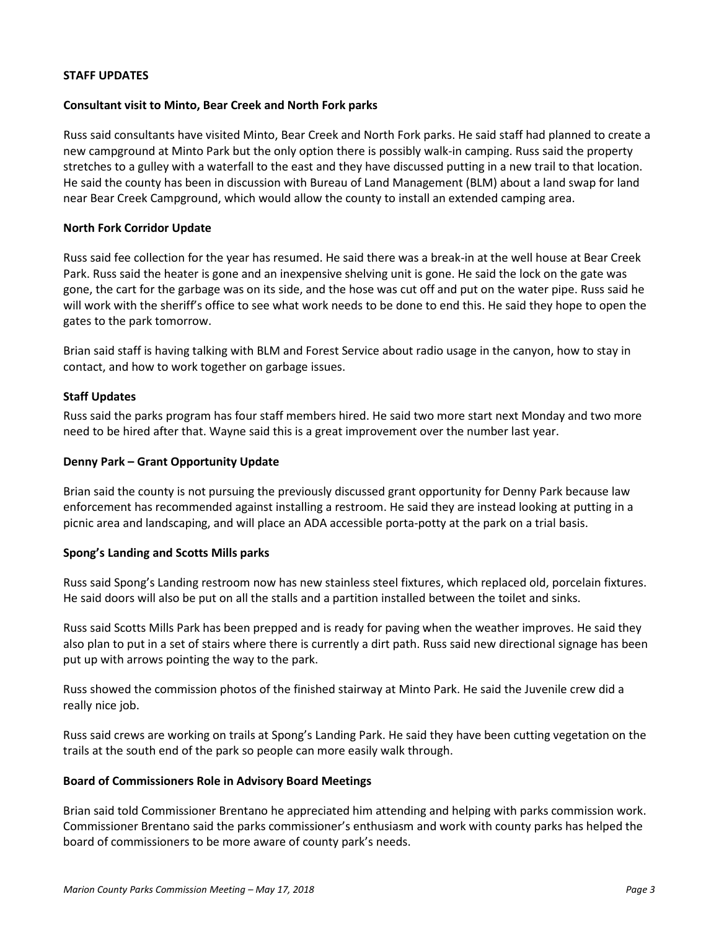### **STAFF UPDATES**

### **Consultant visit to Minto, Bear Creek and North Fork parks**

Russ said consultants have visited Minto, Bear Creek and North Fork parks. He said staff had planned to create a new campground at Minto Park but the only option there is possibly walk-in camping. Russ said the property stretches to a gulley with a waterfall to the east and they have discussed putting in a new trail to that location. He said the county has been in discussion with Bureau of Land Management (BLM) about a land swap for land near Bear Creek Campground, which would allow the county to install an extended camping area.

### **North Fork Corridor Update**

Russ said fee collection for the year has resumed. He said there was a break-in at the well house at Bear Creek Park. Russ said the heater is gone and an inexpensive shelving unit is gone. He said the lock on the gate was gone, the cart for the garbage was on its side, and the hose was cut off and put on the water pipe. Russ said he will work with the sheriff's office to see what work needs to be done to end this. He said they hope to open the gates to the park tomorrow.

Brian said staff is having talking with BLM and Forest Service about radio usage in the canyon, how to stay in contact, and how to work together on garbage issues.

### **Staff Updates**

Russ said the parks program has four staff members hired. He said two more start next Monday and two more need to be hired after that. Wayne said this is a great improvement over the number last year.

### **Denny Park – Grant Opportunity Update**

Brian said the county is not pursuing the previously discussed grant opportunity for Denny Park because law enforcement has recommended against installing a restroom. He said they are instead looking at putting in a picnic area and landscaping, and will place an ADA accessible porta-potty at the park on a trial basis.

#### **Spong's Landing and Scotts Mills parks**

Russ said Spong's Landing restroom now has new stainless steel fixtures, which replaced old, porcelain fixtures. He said doors will also be put on all the stalls and a partition installed between the toilet and sinks.

Russ said Scotts Mills Park has been prepped and is ready for paving when the weather improves. He said they also plan to put in a set of stairs where there is currently a dirt path. Russ said new directional signage has been put up with arrows pointing the way to the park.

Russ showed the commission photos of the finished stairway at Minto Park. He said the Juvenile crew did a really nice job.

Russ said crews are working on trails at Spong's Landing Park. He said they have been cutting vegetation on the trails at the south end of the park so people can more easily walk through.

#### **Board of Commissioners Role in Advisory Board Meetings**

Brian said told Commissioner Brentano he appreciated him attending and helping with parks commission work. Commissioner Brentano said the parks commissioner's enthusiasm and work with county parks has helped the board of commissioners to be more aware of county park's needs.